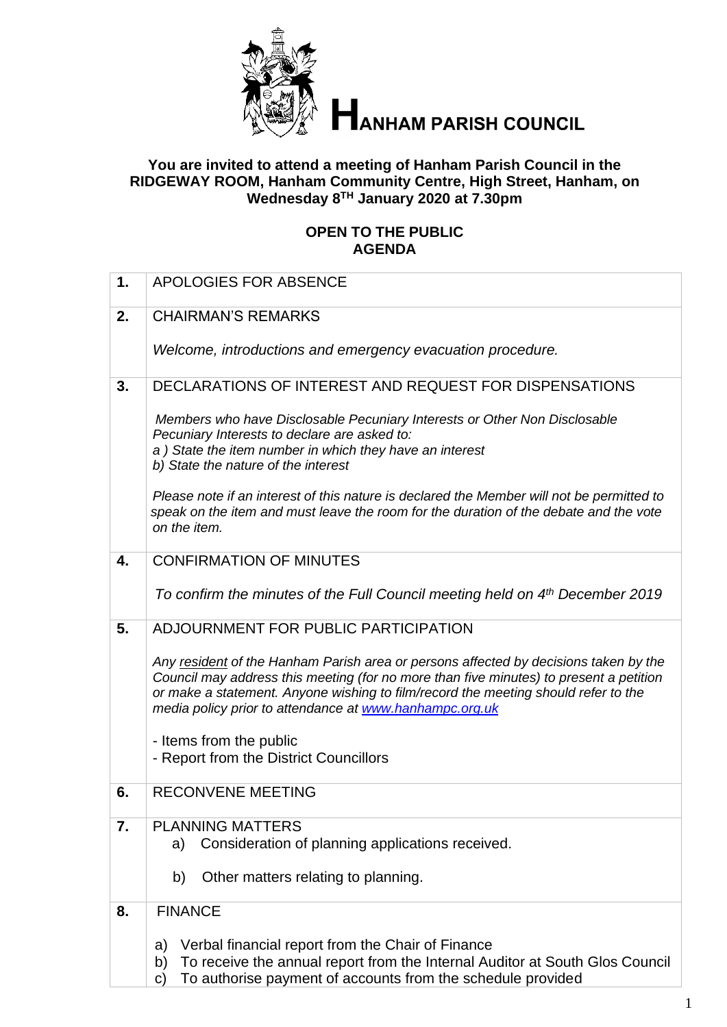

# **ANHAM PARISH COUNCIL**

#### **You are invited to attend a meeting of Hanham Parish Council in the RIDGEWAY ROOM, Hanham Community Centre, High Street, Hanham, on Wednesday 8 TH January 2020 at 7.30pm**

#### **OPEN TO THE PUBLIC AGENDA**

| 1. | <b>APOLOGIES FOR ABSENCE</b>                                                                                                                                                                                                                                                                                                    |
|----|---------------------------------------------------------------------------------------------------------------------------------------------------------------------------------------------------------------------------------------------------------------------------------------------------------------------------------|
| 2. | <b>CHAIRMAN'S REMARKS</b>                                                                                                                                                                                                                                                                                                       |
|    | Welcome, introductions and emergency evacuation procedure.                                                                                                                                                                                                                                                                      |
| 3. | DECLARATIONS OF INTEREST AND REQUEST FOR DISPENSATIONS                                                                                                                                                                                                                                                                          |
|    | Members who have Disclosable Pecuniary Interests or Other Non Disclosable<br>Pecuniary Interests to declare are asked to:<br>a) State the item number in which they have an interest<br>b) State the nature of the interest                                                                                                     |
|    | Please note if an interest of this nature is declared the Member will not be permitted to<br>speak on the item and must leave the room for the duration of the debate and the vote<br>on the item.                                                                                                                              |
| 4. | <b>CONFIRMATION OF MINUTES</b>                                                                                                                                                                                                                                                                                                  |
|    | To confirm the minutes of the Full Council meeting held on 4th December 2019                                                                                                                                                                                                                                                    |
| 5. | ADJOURNMENT FOR PUBLIC PARTICIPATION                                                                                                                                                                                                                                                                                            |
|    | Any resident of the Hanham Parish area or persons affected by decisions taken by the<br>Council may address this meeting (for no more than five minutes) to present a petition<br>or make a statement. Anyone wishing to film/record the meeting should refer to the<br>media policy prior to attendance at www.hanhampc.org.uk |
|    | - Items from the public                                                                                                                                                                                                                                                                                                         |
|    | - Report from the District Councillors                                                                                                                                                                                                                                                                                          |
| 6. | <b>RECONVENE MEETING</b>                                                                                                                                                                                                                                                                                                        |
| 7. | <b>PLANNING MATTERS</b><br>Consideration of planning applications received.<br>a)<br>b)<br>Other matters relating to planning.                                                                                                                                                                                                  |
| 8. | <b>FINANCE</b>                                                                                                                                                                                                                                                                                                                  |
|    | Verbal financial report from the Chair of Finance<br>a)<br>To receive the annual report from the Internal Auditor at South Glos Council<br>b)                                                                                                                                                                                   |

 $\vert \vert$   $\vert$  c) To authorise payment of accounts from the schedule provided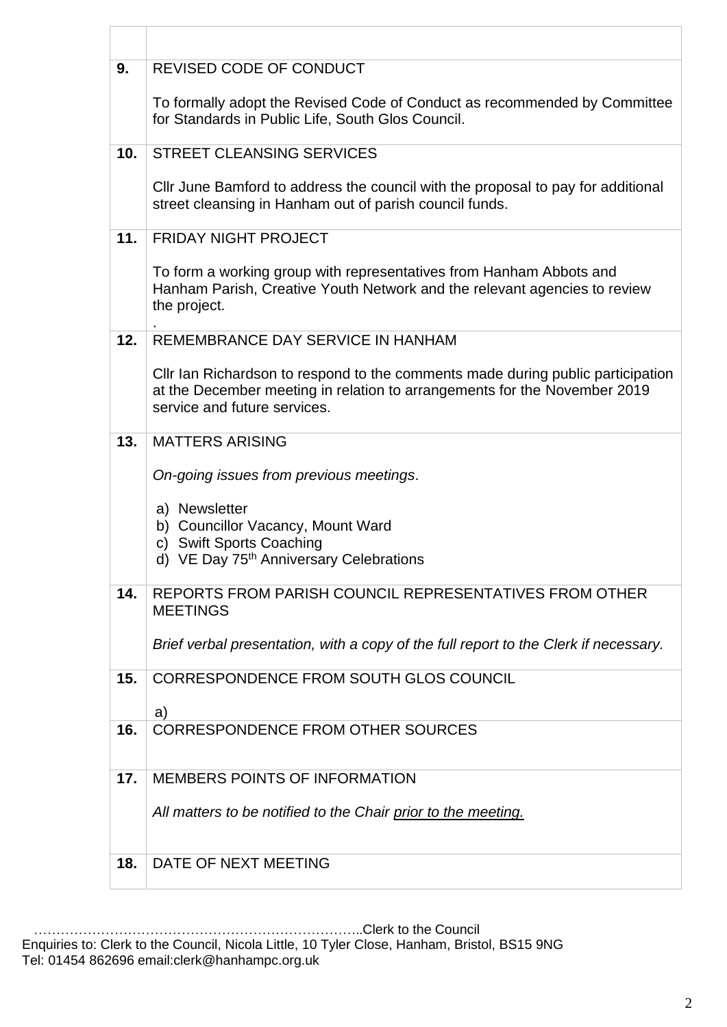| 9.              | REVISED CODE OF CONDUCT                                                                                                                                                                      |
|-----------------|----------------------------------------------------------------------------------------------------------------------------------------------------------------------------------------------|
|                 | To formally adopt the Revised Code of Conduct as recommended by Committee<br>for Standards in Public Life, South Glos Council.                                                               |
| 10 <sub>1</sub> | <b>STREET CLEANSING SERVICES</b>                                                                                                                                                             |
|                 | Cllr June Bamford to address the council with the proposal to pay for additional<br>street cleansing in Hanham out of parish council funds.                                                  |
| 11.             | <b>FRIDAY NIGHT PROJECT</b>                                                                                                                                                                  |
|                 | To form a working group with representatives from Hanham Abbots and<br>Hanham Parish, Creative Youth Network and the relevant agencies to review<br>the project.                             |
| 12.             | REMEMBRANCE DAY SERVICE IN HANHAM                                                                                                                                                            |
|                 | CIIr Ian Richardson to respond to the comments made during public participation<br>at the December meeting in relation to arrangements for the November 2019<br>service and future services. |
| 13.             | <b>MATTERS ARISING</b>                                                                                                                                                                       |
|                 | On-going issues from previous meetings.                                                                                                                                                      |
|                 | a) Newsletter<br>b) Councillor Vacancy, Mount Ward<br>c) Swift Sports Coaching                                                                                                               |
|                 | d) VE Day 75 <sup>th</sup> Anniversary Celebrations                                                                                                                                          |
| 14.             | REPORTS FROM PARISH COUNCIL REPRESENTATIVES FROM OTHER<br><b>MEETINGS</b>                                                                                                                    |
|                 | Brief verbal presentation, with a copy of the full report to the Clerk if necessary.                                                                                                         |
| 15.             | CORRESPONDENCE FROM SOUTH GLOS COUNCIL<br>a)                                                                                                                                                 |
| 16.             | <b>CORRESPONDENCE FROM OTHER SOURCES</b>                                                                                                                                                     |
|                 |                                                                                                                                                                                              |
| 17.             | <b>MEMBERS POINTS OF INFORMATION</b>                                                                                                                                                         |
|                 | All matters to be notified to the Chair prior to the meeting.                                                                                                                                |
|                 |                                                                                                                                                                                              |